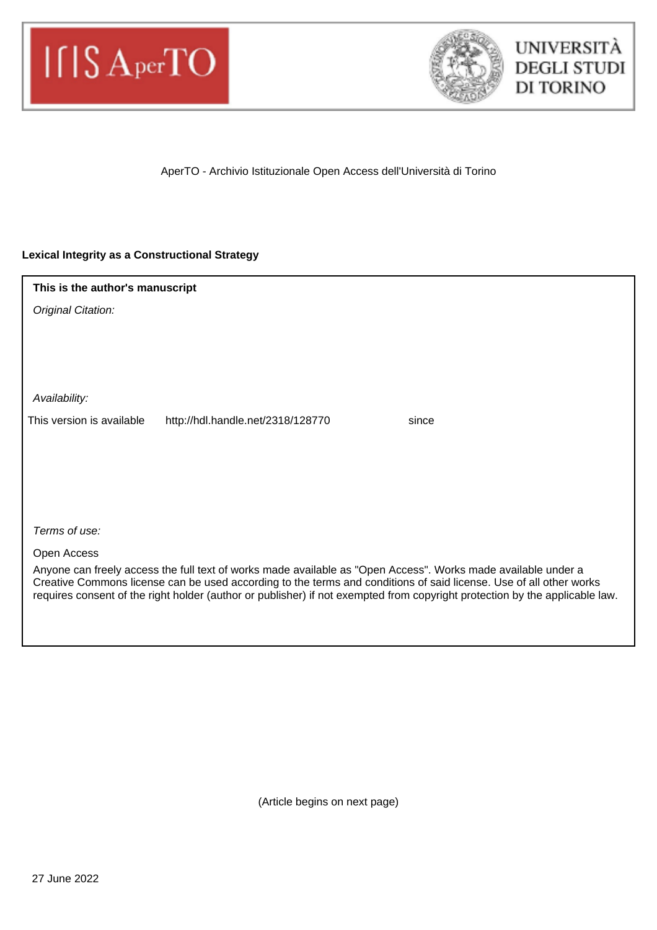



AperTO - Archivio Istituzionale Open Access dell'Università di Torino

### **Lexical Integrity as a Constructional Strategy**

| This is the author's manuscript                                                                                                                                                                                                                                                                                                                                    |
|--------------------------------------------------------------------------------------------------------------------------------------------------------------------------------------------------------------------------------------------------------------------------------------------------------------------------------------------------------------------|
| Original Citation:                                                                                                                                                                                                                                                                                                                                                 |
|                                                                                                                                                                                                                                                                                                                                                                    |
|                                                                                                                                                                                                                                                                                                                                                                    |
|                                                                                                                                                                                                                                                                                                                                                                    |
| Availability:                                                                                                                                                                                                                                                                                                                                                      |
| This version is available<br>http://hdl.handle.net/2318/128770<br>since                                                                                                                                                                                                                                                                                            |
|                                                                                                                                                                                                                                                                                                                                                                    |
|                                                                                                                                                                                                                                                                                                                                                                    |
|                                                                                                                                                                                                                                                                                                                                                                    |
|                                                                                                                                                                                                                                                                                                                                                                    |
| Terms of use:                                                                                                                                                                                                                                                                                                                                                      |
| Open Access                                                                                                                                                                                                                                                                                                                                                        |
| Anyone can freely access the full text of works made available as "Open Access". Works made available under a<br>Creative Commons license can be used according to the terms and conditions of said license. Use of all other works<br>requires consent of the right holder (author or publisher) if not exempted from copyright protection by the applicable law. |
|                                                                                                                                                                                                                                                                                                                                                                    |

(Article begins on next page)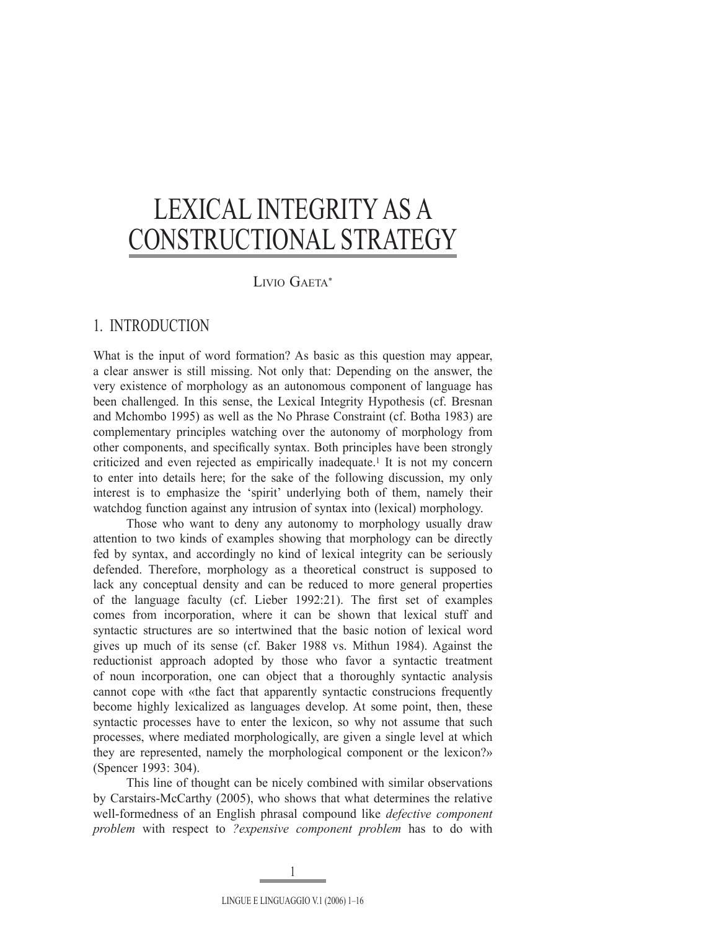# LIVIO GAETA\*

# 1. INTRODUCTION

What is the input of word formation? As basic as this question may appear, a clear answer is still missing. Not only that: Depending on the answer, the very existence of morphology as an autonomous component of language has been challenged. In this sense, the Lexical Integrity Hypothesis (cf. Bresnan and Mchombo 1995) as well as the No Phrase Constraint (cf. Botha 1983) are complementary principles watching over the autonomy of morphology from other components, and specifically syntax. Both principles have been strongly criticized and even rejected as empirically inadequate.1 It is not my concern to enter into details here; for the sake of the following discussion, my only interest is to emphasize the 'spirit' underlying both of them, namely their watchdog function against any intrusion of syntax into (lexical) morphology.

 Those who want to deny any autonomy to morphology usually draw attention to two kinds of examples showing that morphology can be directly fed by syntax, and accordingly no kind of lexical integrity can be seriously defended. Therefore, morphology as a theoretical construct is supposed to lack any conceptual density and can be reduced to more general properties of the language faculty (cf. Lieber 1992:21). The first set of examples comes from incorporation, where it can be shown that lexical stuff and syntactic structures are so intertwined that the basic notion of lexical word gives up much of its sense (cf. Baker 1988 vs. Mithun 1984). Against the reductionist approach adopted by those who favor a syntactic treatment of noun incorporation, one can object that a thoroughly syntactic analysis cannot cope with «the fact that apparently syntactic construcions frequently become highly lexicalized as languages develop. At some point, then, these syntactic processes have to enter the lexicon, so why not assume that such processes, where mediated morphologically, are given a single level at which they are represented, namely the morphological component or the lexicon?» (Spencer 1993: 304).

 This line of thought can be nicely combined with similar observations by Carstairs-McCarthy (2005), who shows that what determines the relative well-formedness of an English phrasal compound like *defective component problem* with respect to *?expensive component problem* has to do with

LINGUE E LINGUAGGIO V.1 (2006) 1–16

1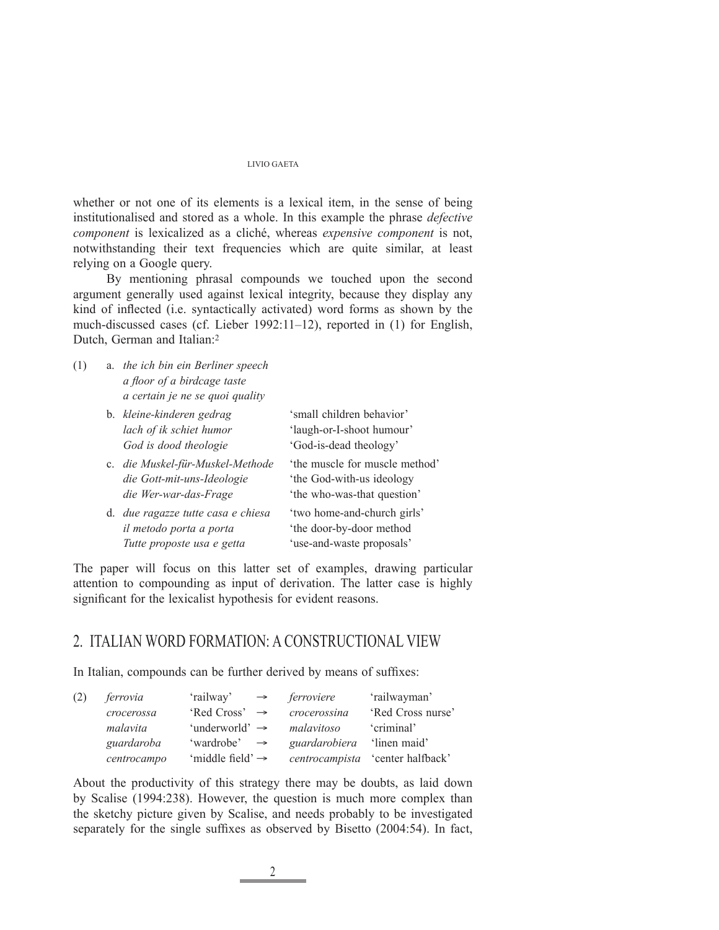whether or not one of its elements is a lexical item, in the sense of being institutionalised and stored as a whole. In this example the phrase *defective component* is lexicalized as a cliché, whereas *expensive component* is not, notwithstanding their text frequencies which are quite similar, at least relying on a Google query.

 By mentioning phrasal compounds we touched upon the second argument generally used against lexical integrity, because they display any kind of inflected (i.e. syntactically activated) word forms as shown by the much-discussed cases (cf. Lieber 1992:11–12), reported in (1) for English, Dutch, German and Italian:2

(1) a. *the ich bin ein Berliner speech a fl oor of a birdcage taste a certain je ne se quoi quality*

| b. kleine-kinderen gedrag<br>lach of ik schiet humor<br>God is dood theologie               | 'small children behavior'<br>'laugh-or-I-shoot humour'<br>'God-is-dead theology'          |
|---------------------------------------------------------------------------------------------|-------------------------------------------------------------------------------------------|
| c. die Muskel-für-Muskel-Methode<br>die Gott-mit-uns-Ideologie<br>die Wer-war-das-Frage     | the muscle for muscle method'<br>'the God-with-us ideology<br>'the who-was-that question' |
| d. due ragazze tutte casa e chiesa<br>il metodo porta a porta<br>Tutte proposte usa e getta | 'two home-and-church girls'<br>'the door-by-door method<br>'use-and-waste proposals'      |

The paper will focus on this latter set of examples, drawing particular attention to compounding as input of derivation. The latter case is highly significant for the lexicalist hypothesis for evident reasons.

# 2. ITALIAN WORD FORMATION: A CONSTRUCTIONAL VIEW

In Italian, compounds can be further derived by means of suffixes:

| (2) | ferrovia    | 'railway'<br>$\rightarrow$   | ferroviere     | 'railwayman'      |
|-----|-------------|------------------------------|----------------|-------------------|
|     | crocerossa  | 'Red Cross' $\rightarrow$    | crocerossina   | 'Red Cross nurse' |
|     | malavita    | 'underworld' $\rightarrow$   | malavitoso     | 'criminal'        |
|     | guardaroba  | 'wardrobe'<br>$\rightarrow$  | guardarobiera  | linen maid'       |
|     | centrocampo | 'middle field' $\rightarrow$ | centrocampista | center halfback'  |

About the productivity of this strategy there may be doubts, as laid down by Scalise (1994:238). However, the question is much more complex than the sketchy picture given by Scalise, and needs probably to be investigated separately for the single suffixes as observed by Bisetto  $(2004:54)$ . In fact,

2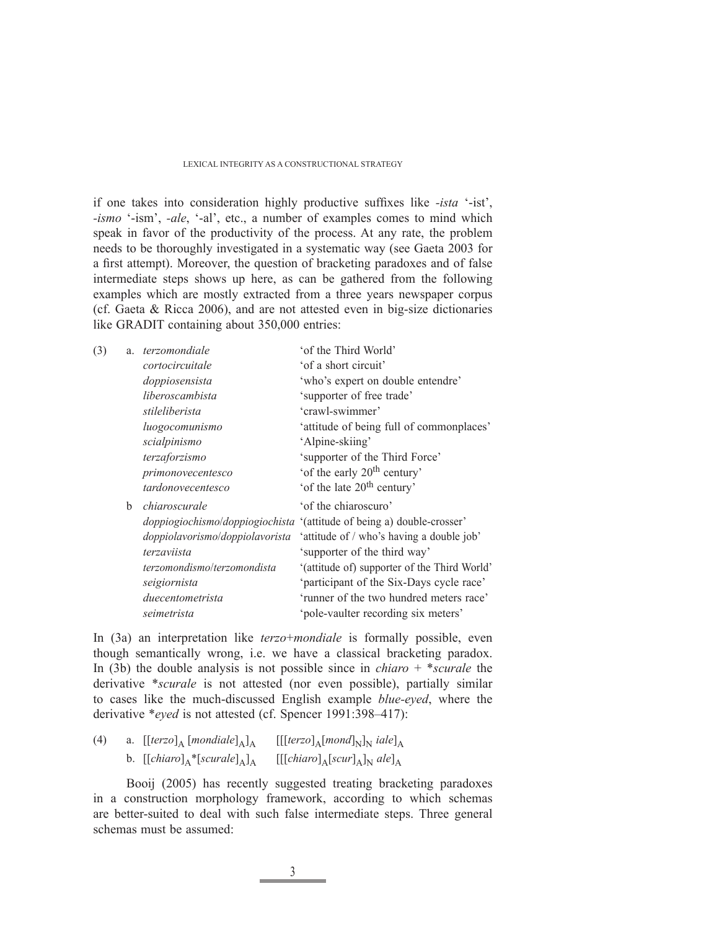if one takes into consideration highly productive suffixes like *-ista* '-ist', *-ismo* '-ism', *-ale*, '-al', etc., a number of examples comes to mind which speak in favor of the productivity of the process. At any rate, the problem needs to be thoroughly investigated in a systematic way (see Gaeta 2003 for a first attempt). Moreover, the question of bracketing paradoxes and of false intermediate steps shows up here, as can be gathered from the following examples which are mostly extracted from a three years newspaper corpus (cf. Gaeta & Ricca 2006), and are not attested even in big-size dictionaries like GRADIT containing about 350,000 entries:

| (3) |   | a. <i>terzomondiale</i>         | 'of the Third World'                                                   |
|-----|---|---------------------------------|------------------------------------------------------------------------|
|     |   | cortocircuitale                 | 'of a short circuit'                                                   |
|     |   | doppiosensista                  | 'who's expert on double entendre'                                      |
|     |   | liberoscambista                 | 'supporter of free trade'                                              |
|     |   | stileliberista                  | 'crawl-swimmer'                                                        |
|     |   | luogocomunismo                  | 'attitude of being full of commonplaces'                               |
|     |   | scialpinismo                    | 'Alpine-skiing'                                                        |
|     |   | terzaforzismo                   | 'supporter of the Third Force'                                         |
|     |   | primonovecentesco               | 'of the early 20 <sup>th</sup> century'                                |
|     |   | tardonovecentesco               | 'of the late 20 <sup>th</sup> century'                                 |
|     | b | chiaroscurale                   | 'of the chiaroscuro'                                                   |
|     |   |                                 | doppiogiochismo/doppiogiochista '(attitude of being a) double-crosser' |
|     |   | doppiolavorismo/doppiolavorista | 'attitude of / who's having a double job'                              |
|     |   | terzaviista                     | 'supporter of the third way'                                           |
|     |   | terzomondismo/terzomondista     | '(attitude of) supporter of the Third World'                           |
|     |   | seigiornista                    | 'participant of the Six-Days cycle race'                               |
|     |   | duecentometrista                | 'runner of the two hundred meters race'                                |
|     |   | seimetrista                     | 'pole-vaulter recording six meters'                                    |
|     |   |                                 |                                                                        |

In (3a) an interpretation like *terzo*+*mondiale* is formally possible, even though semantically wrong, i.e. we have a classical bracketing paradox. In (3b) the double analysis is not possible since in *chiaro* + \**scurale* the derivative \**scurale* is not attested (nor even possible), partially similar to cases like the much-discussed English example *blue-eyed*, where the derivative \**eyed* is not attested (cf. Spencer 1991:398–417):

| (4) | a. $[[terzo]_A [mondiale]_A]_A$   | $[[[terzo]_{A}[mond]_{N}]_{N}]$ iale] <sub>A</sub> |
|-----|-----------------------------------|----------------------------------------------------|
|     | b. $[[chiarot]_A^*[scurale]_A]_A$ | $[[[chiaro]_{A}[scur]_{A}]_{N}$ ale] <sub>A</sub>  |

 Booij (2005) has recently suggested treating bracketing paradoxes in a construction morphology framework, according to which schemas are better-suited to deal with such false intermediate steps. Three general schemas must be assumed: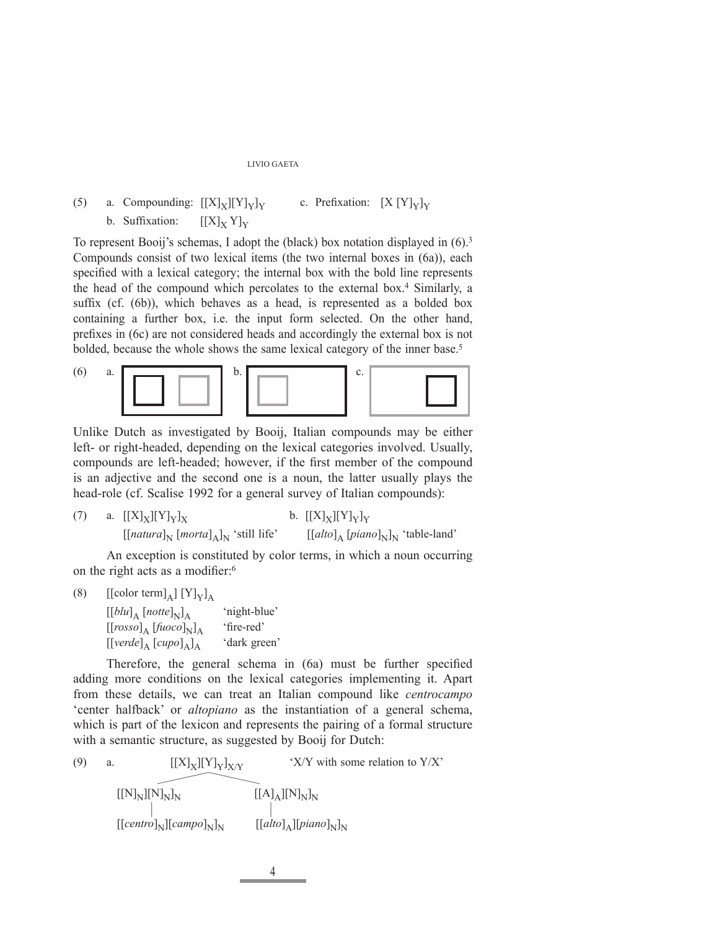# (5) a. Compounding:  $[[X]_X][Y]_Y]_Y$  c. Prefixation:  $[X [Y]_Y]_Y$ b. Suffixation:  $[[X]_Y Y]_Y$

To represent Booij's schemas, I adopt the (black) box notation displayed in (6).3 Compounds consist of two lexical items (the two internal boxes in (6a)), each specified with a lexical category; the internal box with the bold line represents the head of the compound which percolates to the external box.4 Similarly, a suffix (cf.  $(6b)$ ), which behaves as a head, is represented as a bolded box containing a further box, i.e. the input form selected. On the other hand, prefixes in (6c) are not considered heads and accordingly the external box is not bolded, because the whole shows the same lexical category of the inner base.5



Unlike Dutch as investigated by Booij, Italian compounds may be either left- or right-headed, depending on the lexical categories involved. Usually, compounds are left-headed; however, if the first member of the compound is an adjective and the second one is a noun, the latter usually plays the head-role (cf. Scalise 1992 for a general survey of Italian compounds):

(7) a. 
$$
[[X]_X][Y]_Y]_X
$$
 b.  $[[X]_X][Y]_Y]_Y$   $[[natural]_N [normal]_N$ 'still life'  $[[altto]_A [pinon]_N]_N$ 'table-land'

 An exception is constituted by color terms, in which a noun occurring on the right acts as a modifier: $6$ 

(8)  $\left[\text{[color term]}_{\text{A}}\right]\left[Y\right]_{\text{Y}}\right]_{\text{A}}$ 

 $[[blu]_A [notte]_N]_A$  'night-blue'<br> $[[rosso]_A [fuoco]_N]_A$  'fire-red'  $\left[\left[rosso\right]_{A} \left[fluco\right]_{N}\right]_{A}$  'fire-red'<br> $\left[\left[verde\right]_{A} \left[cup\right]_{A}\right]$  'dark green'  $[[\text{verde}]_A [\text{cup}o]_A]_A$ 

Therefore, the general schema in (6a) must be further specified adding more conditions on the lexical categories implementing it. Apart from these details, we can treat an Italian compound like *centrocampo* 'center halfback' or *altopiano* as the instantiation of a general schema, which is part of the lexicon and represents the pairing of a formal structure with a semantic structure, as suggested by Booij for Dutch:

(9) a. 
$$
[[X]_X][Y]_Y]_{X/Y}
$$

$$
\begin{array}{ccc}\n[[N]_N][N]_N]_N & [[A]_A][N]_N]_N \\
[1.5em] & [[A]_A][N]_N]_N \\
[[B]_N][\text{Gamma}^0]_N & [[ab]_A][\text{pi}^0]_N\n\end{array}
$$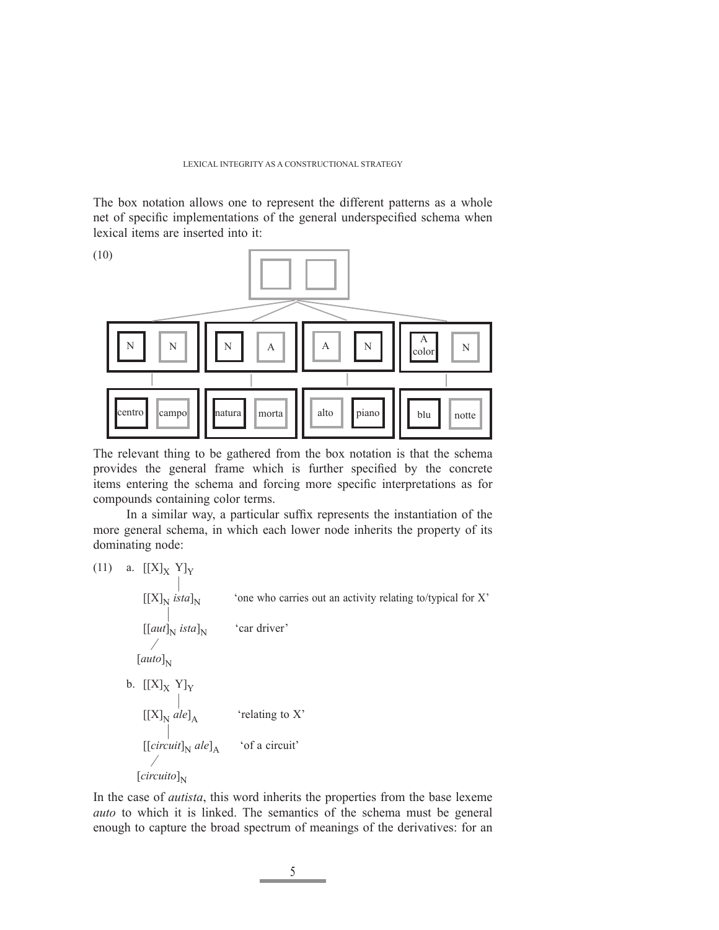The box notation allows one to represent the different patterns as a whole net of specific implementations of the general underspecified schema when lexical items are inserted into it:



The relevant thing to be gathered from the box notation is that the schema provides the general frame which is further specified by the concrete items entering the schema and forcing more specific interpretations as for compounds containing color terms.

In a similar way, a particular suffix represents the instantiation of the more general schema, in which each lower node inherits the property of its dominating node:

$$
(11) \quad \text{a. } [[X]_X \text{ Y}]_Y
$$

 # [[X]N *ista*]N 'one who carries out an activity relating to/typical for X' #  $[[aut]_N$  *ista*]<sub>N</sub> 'car driver' for the state of the state of the state of the state of the state of the state of the state of the state of the  $[auto]_N$ b.  $\left[\left[X\right]_{\mathrm{X}}$   $\mathrm{Y}\right]_{\mathrm{Y}}$  $[[X]_N$  ale]<sub>A</sub>  $[[X]_N$  *ale*]<sub>A</sub> 'relating to X' #  $[[circuit]_{N}$  *ale*]<sub>A</sub> 'of a circuit' for  $\sim$   $\sim$   $\sim$   $\sim$  $[circuito]_{N}$ 

In the case of *autista*, this word inherits the properties from the base lexeme *auto* to which it is linked. The semantics of the schema must be general enough to capture the broad spectrum of meanings of the derivatives: for an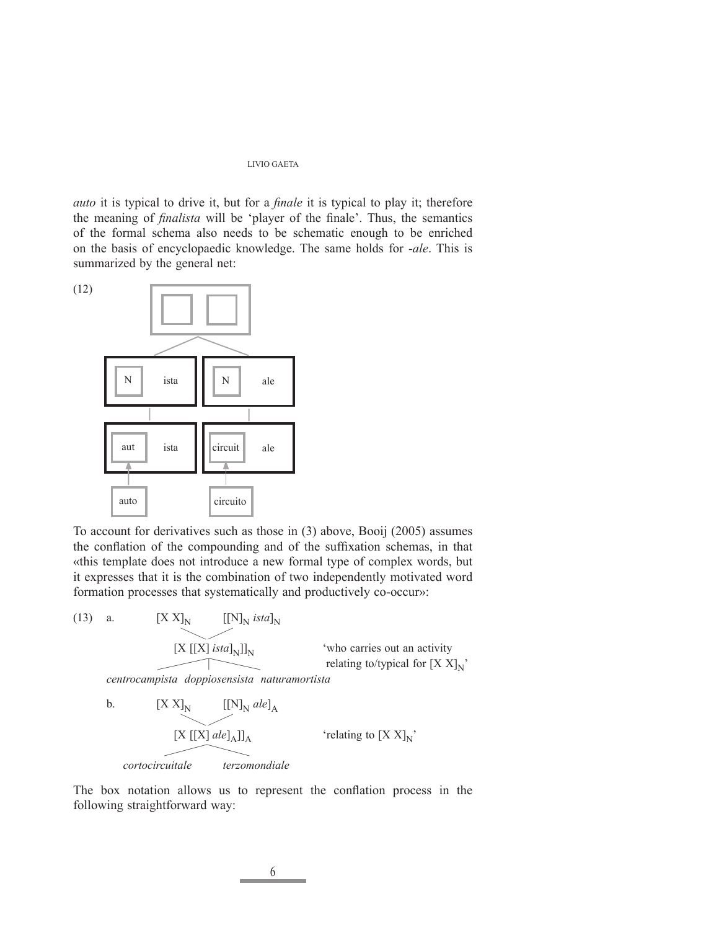*auto* it is typical to drive it, but for a *finale* it is typical to play it; therefore the meaning of *finalista* will be 'player of the finale'. Thus, the semantics of the formal schema also needs to be schematic enough to be enriched on the basis of encyclopaedic knowledge. The same holds for *-ale*. This is summarized by the general net:



To account for derivatives such as those in (3) above, Booij (2005) assumes the conflation of the compounding and of the suffixation schemas, in that «this template does not introduce a new formal type of complex words, but it expresses that it is the combination of two independently motivated word formation processes that systematically and productively co-occur»:

(13) a. 
$$
[X X]_N
$$
  $[[N]_N$  *istal*<sub>N</sub>]  
\n[ $X [[X]$  *istal*<sub>N</sub>]]<sub>N</sub> "who carries out an activity  
\n*centrocampista doppiosensista naturamortista*  
\nb.  $[X X]_N$   $[[N]_N$  *ale*<sub>A</sub>  
\n[ $X [[X]$  *ale*<sub>A</sub>]]<sub>A</sub> "relating to  $[X X]_N$ "

 *cortocircuitale terzomondiale*

The box notation allows us to represent the conflation process in the following straightforward way: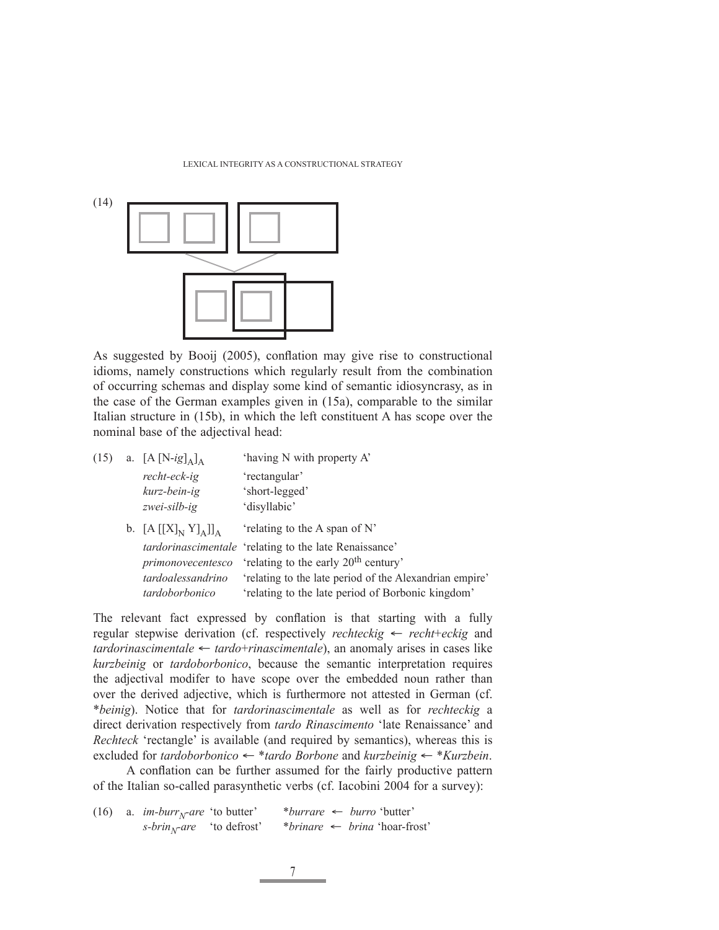

As suggested by Booij (2005), conflation may give rise to constructional idioms, namely constructions which regularly result from the combination of occurring schemas and display some kind of semantic idiosyncrasy, as in the case of the German examples given in (15a), comparable to the similar Italian structure in (15b), in which the left constituent A has scope over the nominal base of the adjectival head:

| (15) | a. $[A[N-ig]_A]_A$     | 'having N with property A'                              |
|------|------------------------|---------------------------------------------------------|
|      | recht-eck-ig           | 'rectangular'                                           |
|      | kurz-bein-ig           | 'short-legged'                                          |
|      | zwei-silb-ig           | 'disyllabic'                                            |
|      | b. $[A[[X]_N Y]_A]]_A$ | 'relating to the A span of N'                           |
|      |                        | tardorinascimentale 'relating to the late Renaissance'  |
|      | primonovecentesco      | 'relating to the early 20 <sup>th</sup> century'        |
|      | tardoalessandrino      | 'relating to the late period of the Alexandrian empire' |
|      | tardoborbonico         | 'relating to the late period of Borbonic kingdom'       |
|      |                        |                                                         |

The relevant fact expressed by conflation is that starting with a fully regular stepwise derivation (cf. respectively *rechteckig* ← *recht*+*eckig* and *tardorinascimentale* ← *tardo*+*rinascimentale*), an anomaly arises in cases like *kurzbeinig* or *tardoborbonico*, because the semantic interpretation requires the adjectival modifer to have scope over the embedded noun rather than over the derived adjective, which is furthermore not attested in German (cf. \**beinig*). Notice that for *tardorinascimentale* as well as for *rechteckig* a direct derivation respectively from *tardo Rinascimento* 'late Renaissance' and *Rechteck* 'rectangle' is available (and required by semantics), whereas this is excluded for *tardoborbonico* ← \**tardo Borbone* and *kurzbeinig* ← \**Kurzbein*.

A conflation can be further assumed for the fairly productive pattern of the Italian so-called parasynthetic verbs (cf. Iacobini 2004 for a survey):

(16) a. *im-burr<sub>N</sub>-are* 'to butter' \**burrare* ← *burro* 'butter' <br>*s-brin<sub>N</sub>-are* 'to defrost' \**brinare* ← *brina* 'hoar-fre *s-brinN-are* 'to defrost' \**brinare* ← *brina* 'hoar-frost'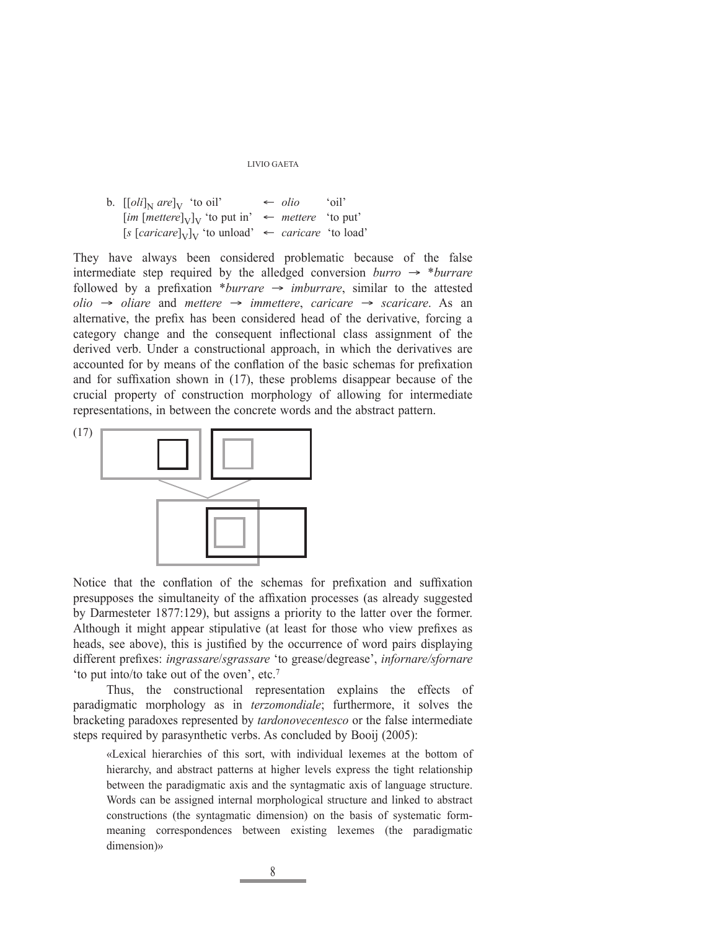| b. $[[oli]_{N}$ are $]_{V}$ 'to oil' |                                                                                         | $\leftarrow$ <i>olio</i> 'oil' |  |
|--------------------------------------|-----------------------------------------------------------------------------------------|--------------------------------|--|
|                                      | $\left[im\left[mettere\right]_{V}\right]_{V}$ 'to put in' $\leftarrow$ mettere 'to put' |                                |  |
|                                      | [s [caricare] <sub>V</sub> ] <sub>V</sub> 'to unload' $\leftarrow$ caricare 'to load'   |                                |  |

They have always been considered problematic because of the false intermediate step required by the alledged conversion *burro* → \**burrare* followed by a prefixation \**burrare*  $\rightarrow$  *imburrare*, similar to the attested *olio* → *oliare* and *mettere* → *immettere*, *caricare* → *scaricare*. As an alternative, the prefix has been considered head of the derivative, forcing a category change and the consequent inflectional class assignment of the derived verb. Under a constructional approach, in which the derivatives are accounted for by means of the conflation of the basic schemas for prefixation and for suffixation shown in  $(17)$ , these problems disappear because of the crucial property of construction morphology of allowing for intermediate representations, in between the concrete words and the abstract pattern.



Notice that the conflation of the schemas for prefixation and suffixation presupposes the simultaneity of the affixation processes (as already suggested by Darmesteter 1877:129), but assigns a priority to the latter over the former. Although it might appear stipulative (at least for those who view prefixes as heads, see above), this is justified by the occurrence of word pairs displaying different prefixes: *ingrassare/sgrassare* 'to grease/degrease', *infornare/sfornare* 'to put into/to take out of the oven', etc.7

 Thus, the constructional representation explains the effects of paradigmatic morphology as in *terzomondiale*; furthermore, it solves the bracketing paradoxes represented by *tardonovecentesco* or the false intermediate steps required by parasynthetic verbs. As concluded by Booij (2005):

«Lexical hierarchies of this sort, with individual lexemes at the bottom of hierarchy, and abstract patterns at higher levels express the tight relationship between the paradigmatic axis and the syntagmatic axis of language structure. Words can be assigned internal morphological structure and linked to abstract constructions (the syntagmatic dimension) on the basis of systematic formmeaning correspondences between existing lexemes (the paradigmatic dimension)»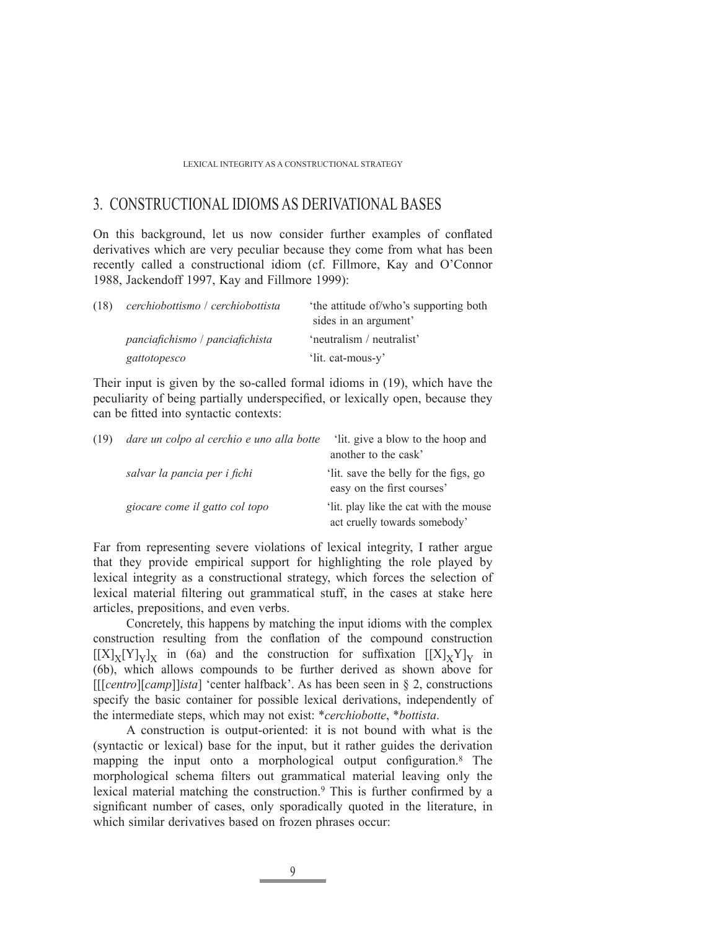# 3. CONSTRUCTIONAL IDIOMS AS DERIVATIONAL BASES

On this background, let us now consider further examples of conflated derivatives which are very peculiar because they come from what has been recently called a constructional idiom (cf. Fillmore, Kay and O'Connor 1988, Jackendoff 1997, Kay and Fillmore 1999):

| (18) | cerchiobottismo / cerchiobottista | the attitude of/who's supporting both |
|------|-----------------------------------|---------------------------------------|
|      |                                   | sides in an argument'                 |
|      | panciafichismo / panciafichista   | 'neutralism / neutralist'             |
|      | gattotopesco                      | 'lit. cat-mous-y'                     |

Their input is given by the so-called formal idioms in (19), which have the peculiarity of being partially underspecified, or lexically open, because they can be fitted into syntactic contexts:

| (19) | dare un colpo al cerchio e uno alla botte | It. give a blow to the hoop and                                        |
|------|-------------------------------------------|------------------------------------------------------------------------|
|      |                                           | another to the cask'                                                   |
|      | salvar la pancia per i fichi              | lit. save the belly for the figs, go<br>easy on the first courses'     |
|      | giocare come il gatto col topo            | lit. play like the cat with the mouse<br>act cruelly towards somebody' |

Far from representing severe violations of lexical integrity, I rather argue that they provide empirical support for highlighting the role played by lexical integrity as a constructional strategy, which forces the selection of lexical material filtering out grammatical stuff, in the cases at stake here articles, prepositions, and even verbs.

 Concretely, this happens by matching the input idioms with the complex construction resulting from the conflation of the compound construction  $[[X]_X[Y]_Y]_X$  in (6a) and the construction for suffixation  $[[X]_XY]_Y$  in (6b), which allows compounds to be further derived as shown above for [[[*centro*][*camp*]]*ista*] 'center halfback'. As has been seen in § 2, constructions specify the basic container for possible lexical derivations, independently of the intermediate steps, which may not exist: \**cerchiobotte*, \**bottista*.

 A construction is output-oriented: it is not bound with what is the (syntactic or lexical) base for the input, but it rather guides the derivation mapping the input onto a morphological output configuration.<sup>8</sup> The morphological schema filters out grammatical material leaving only the lexical material matching the construction.<sup>9</sup> This is further confirmed by a significant number of cases, only sporadically quoted in the literature, in which similar derivatives based on frozen phrases occur: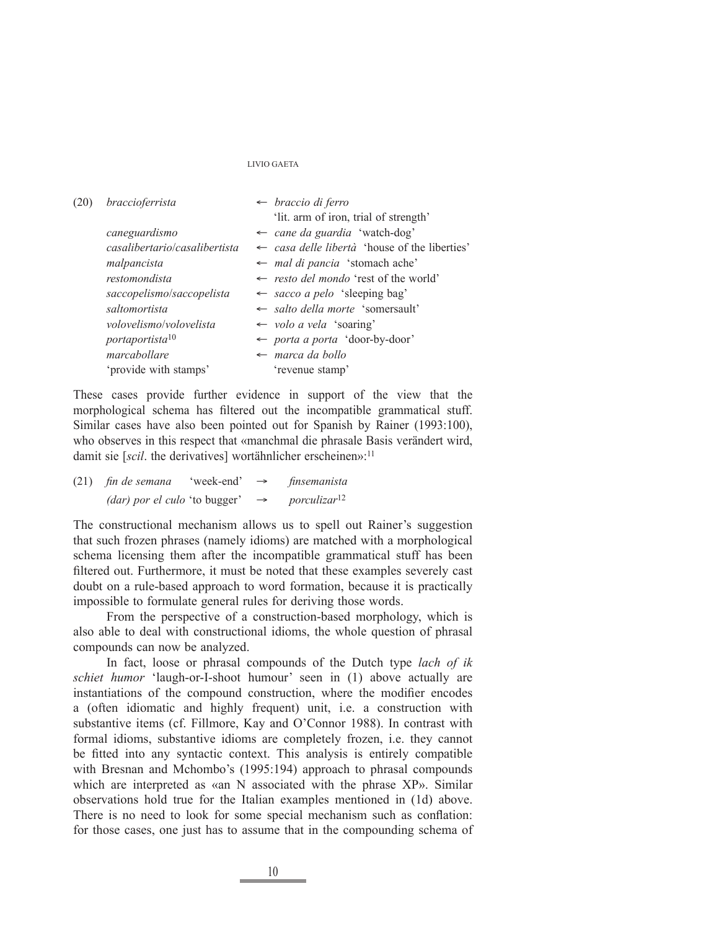| (20) | braccioferrista               | $\leftarrow$ braccio di ferro                            |
|------|-------------------------------|----------------------------------------------------------|
|      |                               | 'lit. arm of iron, trial of strength'                    |
|      | caneguardismo                 | $\leftarrow$ cane da guardia 'watch-dog'                 |
|      | casalibertario/casalibertista | $\leftarrow$ casa delle libertà 'house of the liberties' |
|      | malpancista                   | $\leftarrow$ mal di pancia 'stomach ache'                |
|      | restomondista                 | $\leftarrow$ resto del mondo 'rest of the world'         |
|      | saccopelismo/saccopelista     | $\leftarrow$ sacco a pelo 'sleeping bag'                 |
|      | saltomortista                 | $\leftarrow$ salto della morte 'somersault'              |
|      | volovelismo/volovelista       | $\leftarrow$ volo a vela 'soaring'                       |
|      | portaportista <sup>10</sup>   | $\leftarrow$ porta a porta 'door-by-door'                |
|      | marcabollare                  | $\leftarrow$ marca da bollo                              |
|      | 'provide with stamps'         | 'revenue stamp'                                          |
|      |                               |                                                          |

These cases provide further evidence in support of the view that the morphological schema has filtered out the incompatible grammatical stuff. Similar cases have also been pointed out for Spanish by Rainer (1993:100), who observes in this respect that «manchmal die phrasale Basis verändert wird, damit sie [*scil*. the derivatives] wortähnlicher erscheinen»:<sup>11</sup>

| $(21)$ fin de semana          | 'week-end' | $\rightarrow$ | finsemanista                    |
|-------------------------------|------------|---------------|---------------------------------|
| (dar) por el culo 'to bugger' |            | $\rightarrow$ | <i>porculizar</i> <sup>12</sup> |

The constructional mechanism allows us to spell out Rainer's suggestion that such frozen phrases (namely idioms) are matched with a morphological schema licensing them after the incompatible grammatical stuff has been filtered out. Furthermore, it must be noted that these examples severely cast doubt on a rule-based approach to word formation, because it is practically impossible to formulate general rules for deriving those words.

 From the perspective of a construction-based morphology, which is also able to deal with constructional idioms, the whole question of phrasal compounds can now be analyzed.

 In fact, loose or phrasal compounds of the Dutch type *lach of ik schiet humor* 'laugh-or-I-shoot humour' seen in (1) above actually are instantiations of the compound construction, where the modifier encodes a (often idiomatic and highly frequent) unit, i.e. a construction with substantive items (cf. Fillmore, Kay and O'Connor 1988). In contrast with formal idioms, substantive idioms are completely frozen, i.e. they cannot be fitted into any syntactic context. This analysis is entirely compatible with Bresnan and Mchombo's (1995:194) approach to phrasal compounds which are interpreted as «an N associated with the phrase XP». Similar observations hold true for the Italian examples mentioned in (1d) above. There is no need to look for some special mechanism such as conflation: for those cases, one just has to assume that in the compounding schema of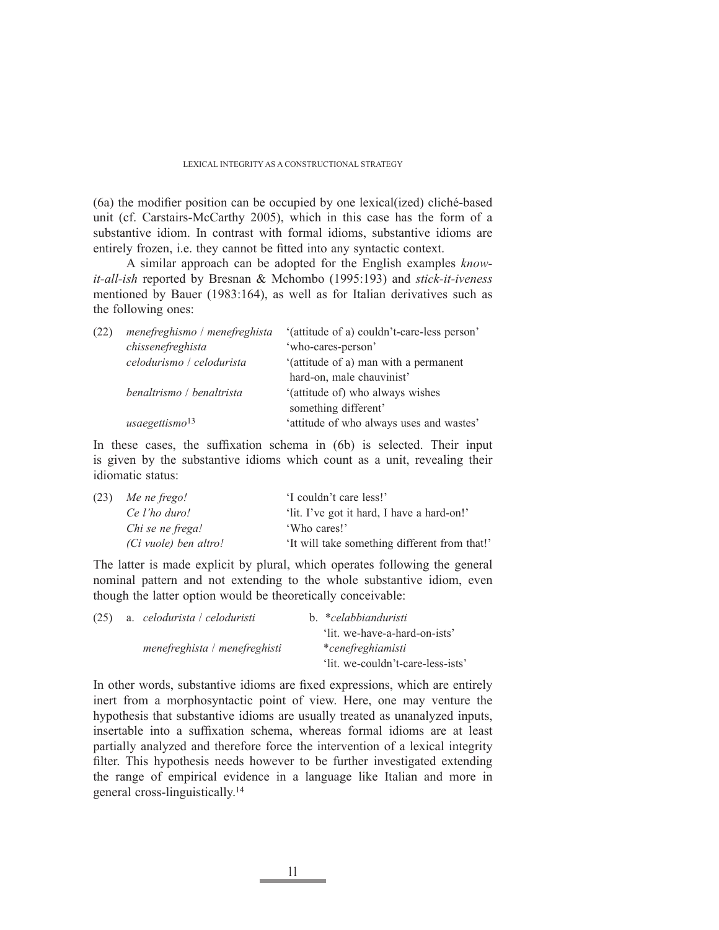$(6a)$  the modifier position can be occupied by one lexical(ized) cliché-based unit (cf. Carstairs-McCarthy 2005), which in this case has the form of a substantive idiom. In contrast with formal idioms, substantive idioms are entirely frozen, i.e. they cannot be fitted into any syntactic context.

 A similar approach can be adopted for the English examples *knowit-all-ish* reported by Bresnan & Mchombo (1995:193) and *stick-it-iveness*  mentioned by Bauer (1983:164), as well as for Italian derivatives such as the following ones:

| (22) | menefreghismo / menefreghista | '(attitude of a) couldn't-care-less person' |
|------|-------------------------------|---------------------------------------------|
|      | chissenefreghista             | 'who-cares-person'                          |
|      | celodurismo / celodurista     | '(attitude of a) man with a permanent       |
|      |                               | hard-on, male chauvinist'                   |
|      | benaltrismo / benaltrista     | '(attitude of) who always wishes            |
|      |                               | something different'                        |
|      | usaegettismo <sup>13</sup>    | 'attitude of who always uses and wastes'    |

In these cases, the suffixation schema in (6b) is selected. Their input is given by the substantive idioms which count as a unit, revealing their idiomatic status:

| (23) | Me ne frego!          | 'I couldn't care less!'                       |  |  |
|------|-----------------------|-----------------------------------------------|--|--|
|      | Ce l'ho duro!         | 'lit. I've got it hard, I have a hard-on!'    |  |  |
|      | Chi se ne frega!      | 'Who cares!'                                  |  |  |
|      | (Ci vuole) ben altro! | 'It will take something different from that!' |  |  |

The latter is made explicit by plural, which operates following the general nominal pattern and not extending to the whole substantive idiom, even though the latter option would be theoretically conceivable:

| (25) |  | a. celodurista / celoduristi  | b. *celabbianduristi              |
|------|--|-------------------------------|-----------------------------------|
|      |  |                               | 'lit. we-have-a-hard-on-ists'     |
|      |  | menefreghista / menefreghisti | *cenefreghiamisti                 |
|      |  |                               | 'lit. we-couldn't-care-less-ists' |

In other words, substantive idioms are fixed expressions, which are entirely inert from a morphosyntactic point of view. Here, one may venture the hypothesis that substantive idioms are usually treated as unanalyzed inputs, insertable into a suffixation schema, whereas formal idioms are at least partially analyzed and therefore force the intervention of a lexical integrity filter. This hypothesis needs however to be further investigated extending the range of empirical evidence in a language like Italian and more in general cross-linguistically.14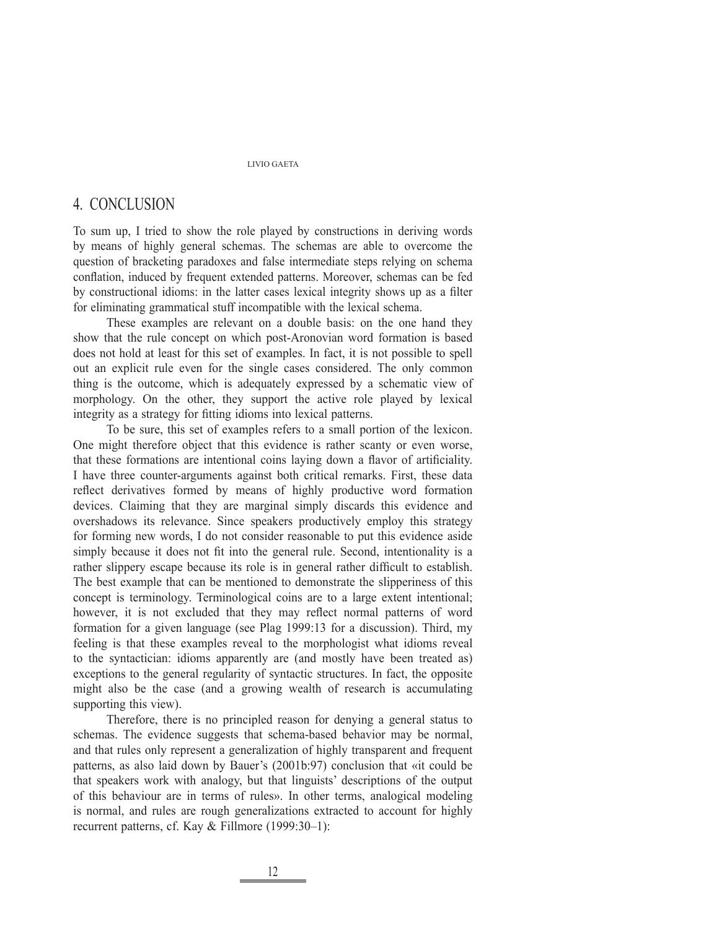# 4. CONCLUSION

To sum up, I tried to show the role played by constructions in deriving words by means of highly general schemas. The schemas are able to overcome the question of bracketing paradoxes and false intermediate steps relying on schema conflation, induced by frequent extended patterns. Moreover, schemas can be fed by constructional idioms: in the latter cases lexical integrity shows up as a filter for eliminating grammatical stuff incompatible with the lexical schema.

 These examples are relevant on a double basis: on the one hand they show that the rule concept on which post-Aronovian word formation is based does not hold at least for this set of examples. In fact, it is not possible to spell out an explicit rule even for the single cases considered. The only common thing is the outcome, which is adequately expressed by a schematic view of morphology. On the other, they support the active role played by lexical integrity as a strategy for fitting idioms into lexical patterns.

 To be sure, this set of examples refers to a small portion of the lexicon. One might therefore object that this evidence is rather scanty or even worse, that these formations are intentional coins laying down a flavor of artificiality. I have three counter-arguments against both critical remarks. First, these data reflect derivatives formed by means of highly productive word formation devices. Claiming that they are marginal simply discards this evidence and overshadows its relevance. Since speakers productively employ this strategy for forming new words, I do not consider reasonable to put this evidence aside simply because it does not fit into the general rule. Second, intentionality is a rather slippery escape because its role is in general rather difficult to establish. The best example that can be mentioned to demonstrate the slipperiness of this concept is terminology. Terminological coins are to a large extent intentional; however, it is not excluded that they may reflect normal patterns of word formation for a given language (see Plag 1999:13 for a discussion). Third, my feeling is that these examples reveal to the morphologist what idioms reveal to the syntactician: idioms apparently are (and mostly have been treated as) exceptions to the general regularity of syntactic structures. In fact, the opposite might also be the case (and a growing wealth of research is accumulating supporting this view).

 Therefore, there is no principled reason for denying a general status to schemas. The evidence suggests that schema-based behavior may be normal, and that rules only represent a generalization of highly transparent and frequent patterns, as also laid down by Bauer's (2001b:97) conclusion that «it could be that speakers work with analogy, but that linguists' descriptions of the output of this behaviour are in terms of rules». In other terms, analogical modeling is normal, and rules are rough generalizations extracted to account for highly recurrent patterns, cf. Kay & Fillmore (1999:30–1):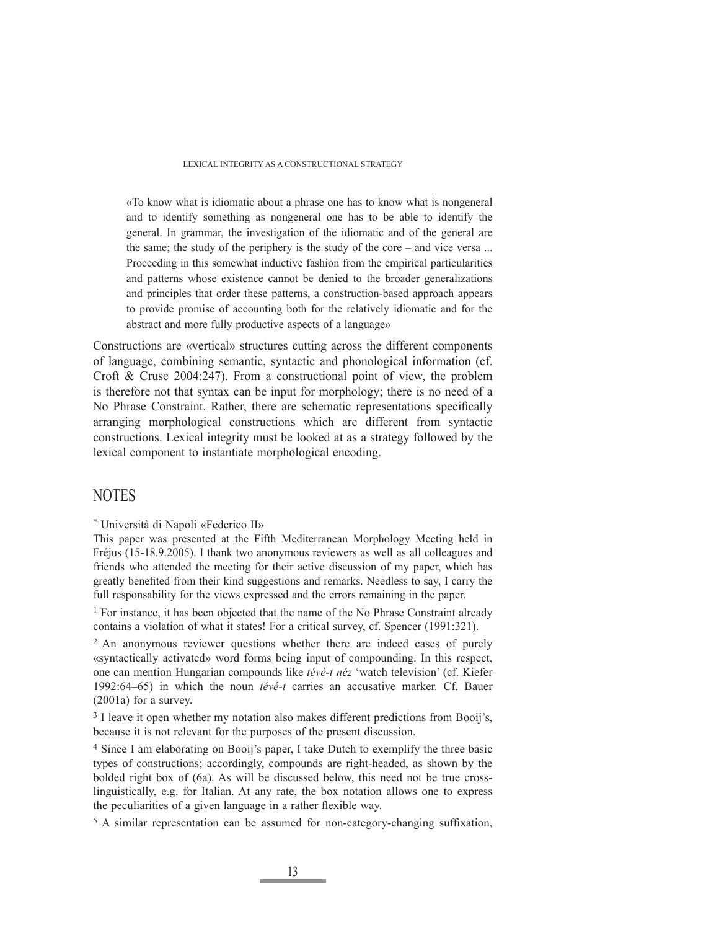«To know what is idiomatic about a phrase one has to know what is nongeneral and to identify something as nongeneral one has to be able to identify the general. In grammar, the investigation of the idiomatic and of the general are the same; the study of the periphery is the study of the core – and vice versa ... Proceeding in this somewhat inductive fashion from the empirical particularities and patterns whose existence cannot be denied to the broader generalizations and principles that order these patterns, a construction-based approach appears to provide promise of accounting both for the relatively idiomatic and for the abstract and more fully productive aspects of a language»

Constructions are «vertical» structures cutting across the different components of language, combining semantic, syntactic and phonological information (cf. Croft & Cruse 2004:247). From a constructional point of view, the problem is therefore not that syntax can be input for morphology; there is no need of a No Phrase Constraint. Rather, there are schematic representations specifically arranging morphological constructions which are different from syntactic constructions. Lexical integrity must be looked at as a strategy followed by the lexical component to instantiate morphological encoding.

# NOTES

\* Università di Napoli «Federico II»

This paper was presented at the Fifth Mediterranean Morphology Meeting held in Fréjus (15-18.9.2005). I thank two anonymous reviewers as well as all colleagues and friends who attended the meeting for their active discussion of my paper, which has greatly benefited from their kind suggestions and remarks. Needless to say, I carry the full responsability for the views expressed and the errors remaining in the paper.

<sup>1</sup> For instance, it has been objected that the name of the No Phrase Constraint already contains a violation of what it states! For a critical survey, cf. Spencer (1991:321).

2 An anonymous reviewer questions whether there are indeed cases of purely «syntactically activated» word forms being input of compounding. In this respect, one can mention Hungarian compounds like *tévé-t néz* 'watch television' (cf. Kiefer 1992:64–65) in which the noun *tévé-t* carries an accusative marker. Cf. Bauer (2001a) for a survey.

<sup>3</sup> I leave it open whether my notation also makes different predictions from Booij's, because it is not relevant for the purposes of the present discussion.

4 Since I am elaborating on Booij's paper, I take Dutch to exemplify the three basic types of constructions; accordingly, compounds are right-headed, as shown by the bolded right box of (6a). As will be discussed below, this need not be true crosslinguistically, e.g. for Italian. At any rate, the box notation allows one to express the peculiarities of a given language in a rather flexible way.

 $5 A$  similar representation can be assumed for non-category-changing suffixation,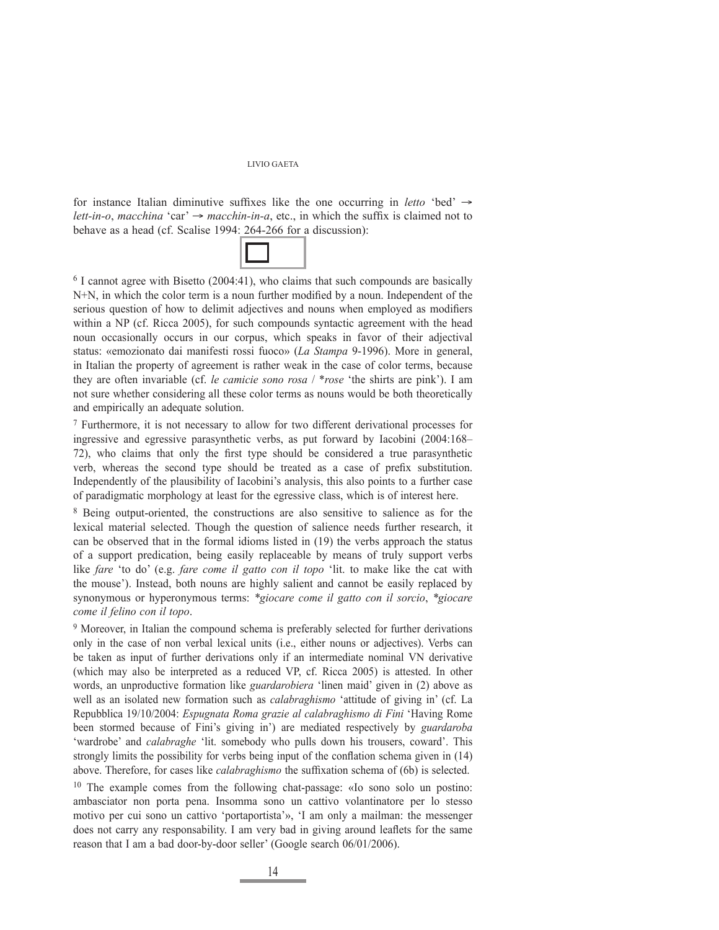for instance Italian diminutive suffixes like the one occurring in *letto* 'bed' → *lett-in-o*, *macchina* 'car'  $\rightarrow$  *macchin-in-a*, etc., in which the suffix is claimed not to behave as a head (cf. Scalise 1994: 264-266 for a discussion):



 $6$  I cannot agree with Bisetto (2004:41), who claims that such compounds are basically  $N+N$ , in which the color term is a noun further modified by a noun. Independent of the serious question of how to delimit adjectives and nouns when employed as modifiers within a NP (cf. Ricca 2005), for such compounds syntactic agreement with the head noun occasionally occurs in our corpus, which speaks in favor of their adjectival status: «emozionato dai manifesti rossi fuoco» (*La Stampa* 9-1996). More in general, in Italian the property of agreement is rather weak in the case of color terms, because they are often invariable (cf. *le camicie sono rosa* / \**rose* 'the shirts are pink'). I am not sure whether considering all these color terms as nouns would be both theoretically and empirically an adequate solution.

7 Furthermore, it is not necessary to allow for two different derivational processes for ingressive and egressive parasynthetic verbs, as put forward by Iacobini (2004:168– 72), who claims that only the first type should be considered a true parasynthetic verb, whereas the second type should be treated as a case of prefix substitution. Independently of the plausibility of Iacobini's analysis, this also points to a further case of paradigmatic morphology at least for the egressive class, which is of interest here.

8 Being output-oriented, the constructions are also sensitive to salience as for the lexical material selected. Though the question of salience needs further research, it can be observed that in the formal idioms listed in (19) the verbs approach the status of a support predication, being easily replaceable by means of truly support verbs like *fare* 'to do' (e.g. *fare come il gatto con il topo* 'lit. to make like the cat with the mouse'). Instead, both nouns are highly salient and cannot be easily replaced by synonymous or hyperonymous terms: *\*giocare come il gatto con il sorcio*, *\*giocare come il felino con il topo*.

9 Moreover, in Italian the compound schema is preferably selected for further derivations only in the case of non verbal lexical units (i.e., either nouns or adjectives). Verbs can be taken as input of further derivations only if an intermediate nominal VN derivative (which may also be interpreted as a reduced VP, cf. Ricca 2005) is attested. In other words, an unproductive formation like *guardarobiera* 'linen maid' given in (2) above as well as an isolated new formation such as *calabraghismo* 'attitude of giving in' (cf. La Repubblica 19/10/2004: *Espugnata Roma grazie al calabraghismo di Fini* 'Having Rome been stormed because of Fini's giving in') are mediated respectively by *guardaroba* 'wardrobe' and *calabraghe* 'lit. somebody who pulls down his trousers, coward'. This strongly limits the possibility for verbs being input of the conflation schema given in  $(14)$ above. Therefore, for cases like *calabraghismo* the suffixation schema of (6b) is selected.

10 The example comes from the following chat-passage: «Io sono solo un postino: ambasciator non porta pena. Insomma sono un cattivo volantinatore per lo stesso motivo per cui sono un cattivo 'portaportista'», 'I am only a mailman: the messenger does not carry any responsability. I am very bad in giving around leaflets for the same reason that I am a bad door-by-door seller' (Google search 06/01/2006).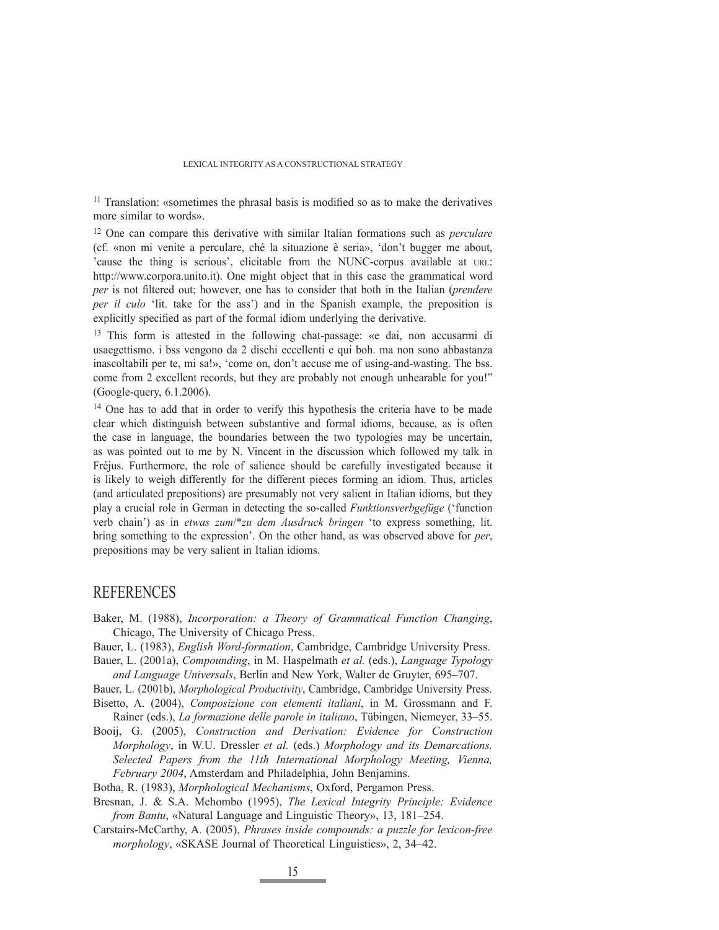$11$  Translation: «sometimes the phrasal basis is modified so as to make the derivatives more similar to words».

12 One can compare this derivative with similar Italian formations such as *perculare* (cf. «non mi venite a perculare, ché la situazione è seria», 'don't bugger me about, 'cause the thing is serious', elicitable from the NUNC-corpus available at URL: http://www.corpora.unito.it). One might object that in this case the grammatical word *per* is not filtered out; however, one has to consider that both in the Italian (*prendere per il culo* 'lit. take for the ass') and in the Spanish example, the preposition is explicitly specified as part of the formal idiom underlying the derivative.

13 This form is attested in the following chat-passage: «e dai, non accusarmi di usaegettismo. i bss vengono da 2 dischi eccellenti e qui boh. ma non sono abbastanza inascoltabili per te, mi sa!», 'come on, don't accuse me of using-and-wasting. The bss. come from 2 excellent records, but they are probably not enough unhearable for you!" (Google-query, 6.1.2006).

<sup>14</sup> One has to add that in order to verify this hypothesis the criteria have to be made clear which distinguish between substantive and formal idioms, because, as is often the case in language, the boundaries between the two typologies may be uncertain, as was pointed out to me by N. Vincent in the discussion which followed my talk in Fréjus. Furthermore, the role of salience should be carefully investigated because it is likely to weigh differently for the different pieces forming an idiom. Thus, articles (and articulated prepositions) are presumably not very salient in Italian idioms, but they play a crucial role in German in detecting the so-called *Funktionsverbgefüge* ('function verb chain') as in *etwas zum*/\**zu dem Ausdruck bringen* 'to express something, lit. bring something to the expression'. On the other hand, as was observed above for *per*, prepositions may be very salient in Italian idioms.

### REFERENCES

- Baker, M. (1988), *Incorporation: a Theory of Grammatical Function Changing*, Chicago, The University of Chicago Press.
- Bauer, L. (1983), *English Word-formation*, Cambridge, Cambridge University Press.
- Bauer, L. (2001a), *Compounding*, in M. Haspelmath *et al.* (eds.), *Language Typology and Language Universals*, Berlin and New York, Walter de Gruyter, 695–707.
- Bauer, L. (2001b), *Morphological Productivity*, Cambridge, Cambridge University Press.
- Bisetto, A. (2004), *Composizione con elementi italiani*, in M. Grossmann and F. Rainer (eds.), *La formazione delle parole in italiano*, Tübingen, Niemeyer, 33–55.
- Booij, G. (2005), *Construction and Derivation: Evidence for Construction Morphology*, in W.U. Dressler *et al.* (eds.) *Morphology and its Demarcations. Selected Papers from the 11th International Morphology Meeting, Vienna, February 2004*, Amsterdam and Philadelphia, John Benjamins.
- Botha, R. (1983), *Morphological Mechanisms*, Oxford, Pergamon Press.
- Bresnan, J. & S.A. Mchombo (1995), *The Lexical Integrity Principle: Evidence from Bantu*, «Natural Language and Linguistic Theory», 13, 181–254.
- Carstairs-McCarthy, A. (2005), *Phrases inside compounds: a puzzle for lexicon-free morphology*, «SKASE Journal of Theoretical Linguistics», 2, 34–42.